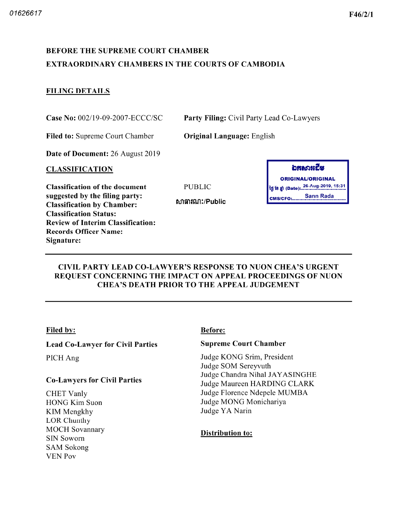# BEFORE THE SUPREME COURT CHAMBER EXTRAORDINARY CHAMBERS IN THE COURTS OF CAMBODIA

# FILING DETAILS

Case No: 002/19-09-2007-ECCC/SC Party Filing: Civil Party Lead Co-Lawyers

Filed to: Supreme Court Chamber **Original Language:** English

Date of Document: 26 August 2019

#### CLASSIFICATION

Classification of the document suggested by the filing party Classification by Chamber Classification Status Review of Interim Classification Records Officer Name Signature

| ກະຍາະຮູ                              |  |  |  |  |
|--------------------------------------|--|--|--|--|
| <b>ORIGINAL/ORIGINAL</b>             |  |  |  |  |
| ້າງ ໂຍ ກໍ (Date): 26-Aug-2019, 15:31 |  |  |  |  |
| <b>CMS/CFO: Sann Rada</b>            |  |  |  |  |

#### CIVIL PARTY LEAD CO LAWYER'S RESPONSE TO NUON CHEA'S URGENT REQUEST CONCERNING THE IMPACT ON APPEAL PROCEEDINGS OF NUON CHEA'S DEATH PRIOR TO THE APPEAL JUDGEMENT

**PUBLIC** 

សាធារណ:/Public

## Filed by: Before:

## Lead Co-Lawyer for Civil Parties

PICH Ang

## Co Lawyers for Civil Parties

CHET Vanly HONG Kim Suon KIM Mengkhy LOR Chunthy MOCH Sovannary SIN Sowom SAM Sokong YEN Pov

#### Supreme Court Chamber

Judge KONG Srim, President Judge SOM Sereyvuth Judge Chandra Nihal JAYASINGHE Judge Maureen HARDING CLARK Judge Florence Ndepele MUMBA Judge MONG Monichariya Judge YA Narin

## Distribution to: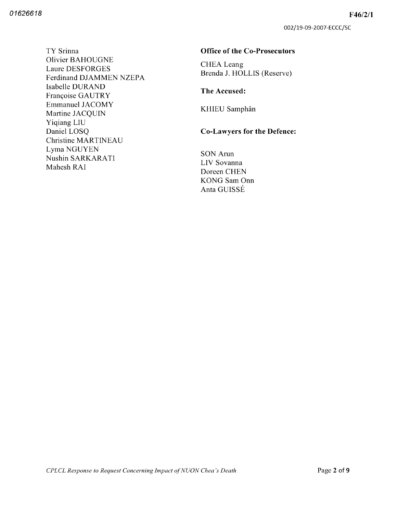002/19-09-2007-ECCC/SC

TY Srinna Olivier BAHOUGNE Laure DESFORGES Ferdinand DJAMMEN NZEPA Isabelle DURAND Françoise GAUTRY Emmanuel JACOMY Martine JACQUIN Yiqiang LIU Daniel LOSQ Christine MARTINEAU Lyma NGUYEN Nushin SARKARATI Mahesh RAI

#### Office of the Co-Prosecutors

CHEA Leang Brenda J. HOLLIS (Reserve)

#### The Accused

KHIEU Samphân

# Co-Lawyers for the Defence:

SON Arun LIV Sovanna Doreen CHEN KONG Sam Onn Anta GUISSÉ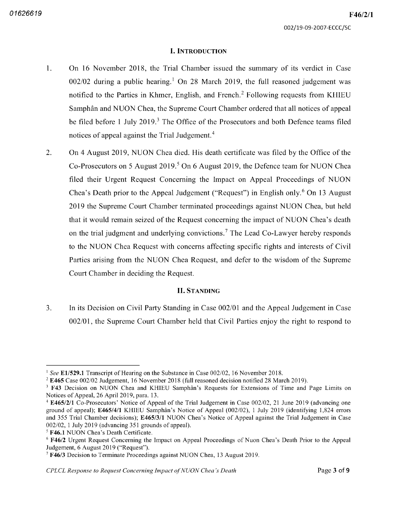#### I. INTRODUCTION

- $1.$ On 16 November 2018, the Trial Chamber issued the summary of its verdict in Case  $002/02$  during a public hearing.<sup>1</sup> On 28 March 2019, the full reasoned judgement was notified to the Parties in Khmer, English, and French.<sup>2</sup> Following requests from KHIEU Samphân and NUON Chea, the Supreme Court Chamber ordered that all notices of appeal be filed before 1 July 2019.<sup>3</sup> The Office of the Prosecutors and both Defence teams filed notices of appeal against the Trial Judgement.<sup>4</sup>
- $2.$ On 4 August 2019, NUON Chea died. His death certificate was filed by the Office of the Co-Prosecutors on 5 August 2019.<sup>5</sup> On 6 August 2019, the Defence team for NUON Chea filed their Urgent Request Concerning the Impact on Appeal Proceedings of NUON Chea's Death prior to the Appeal Judgement ("Request") in English only.<sup>6</sup> On 13 August 2019 the Supreme Court Chamber terminated proceedings against NUON Chea, but held that it would remain seized of the Request concerning the impact of NUON Chea's death on the trial judgment and underlying convictions.<sup>7</sup> The Lead Co-Lawyer hereby responds to the NUON Chea Request with concerns affecting specific rights and interests of Civil Parties arising from the NUON Chea Request, and defer to the wisdom of the Supreme Court Chamber in deciding the Request

#### **II. STANDING**

 $3<sub>1</sub>$ In its Decision on Civil Party Standing in Case 002 <sup>01</sup> and the Appeal Judgement in Case 002/01, the Supreme Court Chamber held that Civil Parties enjoy the right to respond to

<sup>&</sup>lt;sup>1</sup> See E1/529.1 Transcript of Hearing on the Substance in Case 002/02, 16 November 2018.

 $2$  E465 Case 002/02 Judgement, 16 November 2018 (full reasoned decision notified 28 March 2019).

<sup>&</sup>lt;sup>3</sup> F43 Decision on NUON Chea and KHIEU Samphân's Requests for Extensions of Time and Page Limits on Notices of Appeal, 26 April 2019, para. 13.

<sup>&</sup>lt;sup>4</sup> E465/2/1 Co-Prosecutors' Notice of Appeal of the Trial Judgement in Case 002/02, 21 June 2019 (advancing one ground of appeal); E465/4/1 KHIEU Samphân's Notice of Appeal (002/02), 1 July 2019 (identifying 1,824 errors and 355 Trial Chamber decisions); E465/3/1 NUON Chea's Notice of Appeal against the Trial Judgement in Case  $002/02$ , 1 July 2019 (advancing 351 grounds of appeal).

<sup>&</sup>lt;sup>5</sup> F46.1 NUON Chea's Death Certificate.

 $6$  F46/2 Urgent Request Concerning the Impact on Appeal Proceedings of Nuon Chea's Death Prior to the Appeal Judgement, 6 August 2019 ("Request").

 $7$  F46/3 Decision to Terminate Proceedings against NUON Chea, 13 August 2019.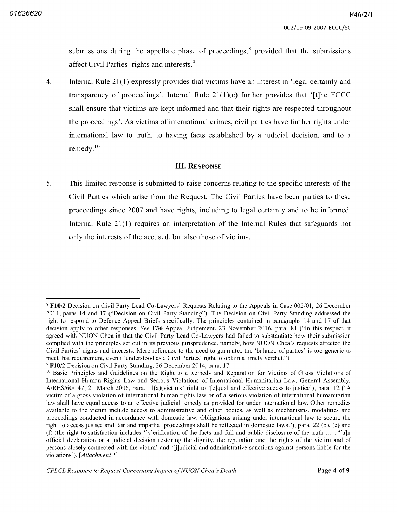submissions during the appellate phase of proceedings, $\frac{8}{3}$  provided that the submissions affect Civil Parties' rights and interests.<sup>9</sup>

 $4.$ Internal Rule  $21(1)$  expressly provides that victims have an interest in 'legal certainty and transparency of proceedings'. Internal Rule  $21(1)(c)$  further provides that '[t]he ECCC shall ensure that victims are kept informed and that their rights are respected throughout the proceedings' As victims of international crimes civil parties have further rights under international law to truth, to having facts established by a judicial decision, and to a remedy.<sup>10</sup>

#### **III. RESPONSE**

5. This limited response is submitted to raise concerns relating to the specific interests of the Civil Parties which arise from the Request The Civil Parties have been parties to these proceedings since 2007 and have rights, including to legal certainty and to be informed. Internal Rule  $21(1)$  requires an interpretation of the Internal Rules that safeguards not only the interests of the accused, but also those of victims.

<sup>&</sup>lt;sup>8</sup> F10/2 Decision on Civil Party Lead Co-Lawyers' Requests Relating to the Appeals in Case 002/01, 26 December 2014, paras 14 and 17 ("Decision on Civil Party Standing"). The Decision on Civil Party Standing addressed the right to respond to Defence Appeal Briefs specifically. The principles contained in paragraphs 14 and 17 of that decision apply to other responses. See F36 Appeal Judgement, 23 November 2016, para. 81 ("In this respect, it agreed with NUON Chea in that the Civil Party Lead Co Lawyers had failed to substantiate how their submission complied with the principles set out in its previous jurisprudence namely how NUON Chea's requests affected the Civil Parties' rights and interests Mere reference to the need to guarantee the 'balance of parties' is too generic to meet that requirement, even if understood as a Civil Parties' right to obtain a timely verdict.").

 $9$  F10/2 Decision on Civil Party Standing, 26 December 2014, para. 17.

<sup>&</sup>lt;sup>10</sup> Basic Principles and Guidelines on the Right to a Remedy and Reparation for Victims of Gross Violations of International Human Rights Law and Serious Violations of International Humanitarian Law, General Assembly, RES/60/147, 21 March 2006, para. 11(a)(victims' right to '[e]qual and effective access to justice'); para. 12 ('A victim of a gross violation of international human rights law or of a serious violation of international humanitarian law shall have equal access to an effective judicial remedy as provided for under international law. Other remedies available to the victim include access to administrative and other bodies as well as mechanisms modalities and proceedings conducted in accordance with domestic law Obligations arising under international law to secure the right to access justice and fair and impartial proceedings shall be reflected in domestic laws.'); para. 22 (b), (c) and (f) (the right to satisfaction includes '[v]erification of the facts and full and public disclosure of the truth  $\ldots$ '; '[a]n official declaration or a judicial decision restoring the dignity, the reputation and the rights of the victim and of persons closely connected with the victim' and '[jjudicial and administrative sanctions against persons liable for the violations'). [Attachment 1]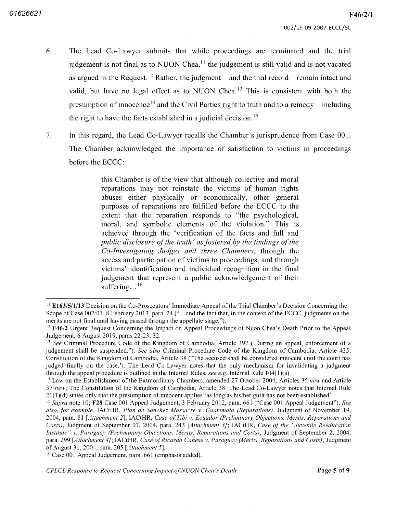- 6. The Lead Co-Lawyer submits that while proceedings are terminated and the trial judgement is not final as to NUON Chea,<sup>11</sup> the judgement is still valid and is not vacated as argued in the Request.<sup>12</sup> Rather, the judgment  $-$  and the trial record  $-$  remain intact and valid, but have no legal effect as to NUON Chea. $^{13}$  This is consistent with both the presumption of innocence<sup>14</sup> and the Civil Parties right to truth and to a remedy – including the right to have the facts established in a judicial decision.<sup>15</sup>
- $7.$ In this regard, the Lead Co-Lawyer recalls the Chamber's jurisprudence from Case  $001$ . The Chamber acknowledged the importance of satisfaction to victims in proceedings before the ECCC

this Chamber is of the view that although collective and moral reparations may not reinstate the victims of human rights abuses either physically or economically, other general purposes of reparations are fulfilled before the ECCC to the extent that the reparation responds to "the psychological, moral, and symbolic elements of the violation." This is achieved through the 'verification of the facts and full and public disclosure of the truth' as fostered by the findings of the Co-Investigating Judges and three Chambers, through the access and participation of victims to proceedings, and through victims' identification and individual recognition in the final judgement that represent a public acknowledgement of their suffering...<sup>16</sup>

 $11$  E163/5/1/13 Decision on the Co-Prosecutors' Immediate Appeal of the Trial Chamber's Decision Concerning the Scope of Case 002/01, 8 February 2013, para. 24 ("...and the fact that, in the context of the ECCC, judgments on the merits are not final until having passed through the appellate stage.").

<sup>&</sup>lt;sup>12</sup> F46/2 Urgent Request Concerning the Impact on Appeal Proceedings of Nuon Chea's Death Prior to the Appeal Judgement, 6 August 2019, paras 22-23, 32.

<sup>&</sup>lt;sup>13</sup> See Criminal Procedure Code of the Kingdom of Cambodia, Article 397 ('During an appeal, enforcement of judgement shall be suspended."). See also Criminal Procedure Code of the Kingdom of Cambodia, Article  $435$ ; Constitution of the Kingdom of Cambodia, Article 38 ("The accused shall be considered innocent until the court has judged finally on the case.'). The Lead Co-Lawyer notes that the only mechanism for invalidating a judgment through the appeal procedure is outlined in the Internal Rules, see e.g. Internal Rule  $104(1)(a)$ .

<sup>&</sup>lt;sup>14</sup> Law on the Establishment of the Extraordinary Chambers, amended 27 October 2004, Articles 35 new and Article 37 new; The Constitution of the Kingdom of Cambodia, Article 38. The Lead Co-Lawyer notes that Internal Rule  $21(1)(d)$  states only that the presumption of innocent applies 'as long as his/her guilt has not been established'.

 $^{15}$  Supra note 10; F28 Case 001 Appeal Judgement, 3 February 2012, para. 661 ("Case 001 Appeal Judgement"). See also, for example, IACtHR, Plan de Sánchez Massacre v. Guatemala (Reparations), Judgment of November 19, 2004, para. 81 [Attachment 2]; IACtHR, Case of Tibi v. Ecuador (Preliminary Objections, Merits, Reparations and Costs), Judgment of September 07, 2004, para. 243 [Attachment 3]; IACtHR, Case of the "Juvenile Reeducation Institute" v. Paraguay (Preliminary Objections, Merits, Reparations and Costs), Judgment of September 2, 2004, para. 299 [*Attachment 4]*; IACtHR, *Case of Ricardo Canese v. Paraguay (Merits, Reparations and Costs)*, Judgment of August 31, 2004, para. 205 [*Attachment 5*].

<sup>&</sup>lt;sup>16</sup> Case 001 Appeal Judgement, para. 661 (emphasis added)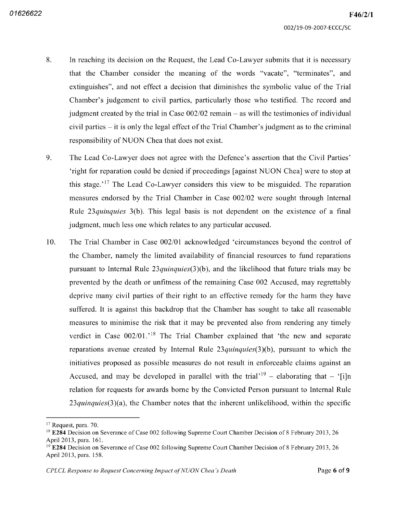- 8. In reaching its decision on the Request, the Lead Co-Lawyer submits that it is necessary that the Chamber consider the meaning of the words "vacate", "terminates", and extinguishes", and not effect a decision that diminishes the symbolic value of the Trial Chamber's judgement to civil parties, particularly those who testified. The record and judgment created by the trial in Case  $002/02$  remain  $-$  as will the testimonies of individual civil parties  $-$  it is only the legal effect of the Trial Chamber's judgment as to the criminal responsibility of NUON Chea that does not exist
- 9. The Lead Co-Lawyer does not agree with the Defence's assertion that the Civil Parties' 'right for reparation could be denied if proceedings [against NUON Chea] were to stop at this stage.<sup>17</sup> The Lead Co-Lawyer considers this view to be misguided. The reparation measures endorsed by the Trial Chamber in Case 002/02 were sought through Internal Rule 23*quinquies*  $3(b)$ . This legal basis is not dependent on the existence of a final judgment, much less one which relates to any particular accused.
- The Trial Chamber in Case 002/01 acknowledged 'circumstances beyond the control of the Chamber, namely the limited availability of financial resources to fund reparations pursuant to Internal Rule  $23\gamma$  *quinquies* (3)(b), and the likelihood that future trials may be prevented by the death or unfitness of the remaining Case 002 Accused may regrettably deprive many civil parties of their right to an effective remedy for the harm they have suffered. It is against this backdrop that the Chamber has sought to take all reasonable measures to minimise the risk that it may be prevented also from rendering any timely verdict in Case  $002/01$ .<sup>18</sup> The Trial Chamber explained that 'the new and separate reparations avenue created by Internal Rule  $23$ quinquies $(3)(b)$ , pursuant to which the initiatives proposed as possible measures do not result in enforceable claims against an Accused, and may be developed in parallel with the trial<sup> $19$ </sup> – elaborating that – '[i]n relation for requests for awards borne by the Convicted Person pursuant to Internal Rule  $23$ quinquies $(3)(a)$ , the Chamber notes that the inherent unlikelihood, within the specific 10

<sup>&</sup>lt;sup>17</sup> Request, para. 70.

<sup>&</sup>lt;sup>18</sup> E284 Decision on Severance of Case 002 following Supreme Court Chamber Decision of 8 February 2013, 26 April 2013, para. 161.

<sup>&</sup>lt;sup>19</sup> E284 Decision on Severance of Case 002 following Supreme Court Chamber Decision of 8 February 2013, 26 April 2013, para. 158.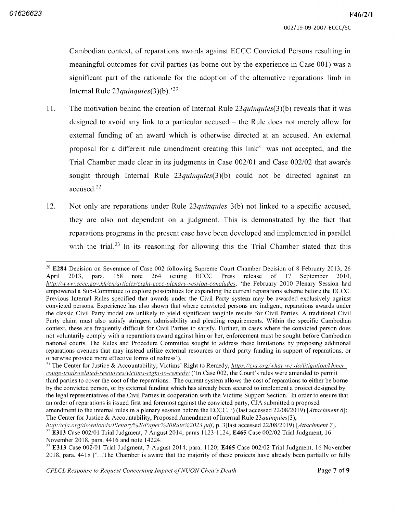Cambodian context, of reparations awards against ECCC Convicted Persons resulting in meaningful outcomes for civil parties (as borne out by the experience in Case  $001$ ) was a significant part of the rationale for the adoption of the alternative reparations limb in Internal Rule 23 *quinquies* (3)(b).<sup>20</sup>

- The motivation behind the creation of Internal Rule  $23$  *quinquies*  $(3)(b)$  reveals that it was designed to avoid any link to a particular accused – the Rule does not merely allow for external funding of an award which is otherwise directed at an accused. An external proposal for a different rule amendment creating this link<sup>21</sup> was not accepted, and the Trial Chamber made clear in its judgments in Case 002/01 and Case 002/02 that awards sought through Internal Rule  $23$ quinquies  $(3)(b)$  could not be directed against an accused. $22$ 11
- Not only are reparations under Rule  $23$ quinquies 3(b) not linked to a specific accused, they are also not dependent on a judgment. This is demonstrated by the fact that reparations programs in the present case have been developed and implemented in parallel with the trial.<sup>23</sup> In its reasoning for allowing this the Trial Chamber stated that this 12

<sup>&</sup>lt;sup>20</sup> E284 Decision on Severance of Case 002 following Supreme Court Chamber Decision of 8 February 2013, 26 April 2013, para. 158 <sup>158</sup> note <sup>264</sup> citing ECCC Press release of <sup>17</sup> September <sup>2010</sup> http://www.eccc.gov.kh/en/articles/eight-eccc-plenary-session-concludes, 'the February 2010 Plenary Session had empowered a Sub-Committee to explore possibilities for expanding the current reparations scheme before the ECCC. Previous Internal Rules specified that awards under the Civil Party system may be awarded exclusively against convicted persons. Experience has also shown that where convicted persons are indigent, reparations awards under the classic Civil Party model are unlikely to yield significant tangible results for Civil Parties. A traditional Civil Party claim must also satisfy stringent admissibility and pleading requirements. Within the specific Cambodian context, these are frequently difficult for Civil Parties to satisfy. Further, in cases where the convicted person does not voluntarily comply with a reparations award against him or her, enforcement must be sought before Cambodian national courts The Rules and Procedure Committee sought to address these limitations by proposing additional reparations avenues that may instead utilize external resources or third party funding in support of reparations or otherwise provide more effective forms of redress'

<sup>&</sup>lt;sup>21</sup> The Center for Justice & Accountability, Victims' Right to Remedy,  $https://cja.org/what-we-do/litigation/khmer$ rouge-trials/related-resources/victims-right-to-remedy/ ('In Case 002, the Court's rules were amended to permit third parties to cover the cost of the reparations The current system allows the cost of reparations to either be borne by the convicted person, or by external funding which has already been secured to implement a project designed by the legal representatives of the Civil Parties in cooperation with the Victims Support Section In order to ensure that an order of reparations is issued first and foremost against the convicted party, CJA submitted a proposed amendment to the internal rules in a plenary session before the ECCC.  $\dot{\phantom{a}}$ ) (last accessed 22/08/2019) [Attachment 6]; The Center for Justice & Accountability, Proposed Amendment of Internal Rule 23 quinquies (3),

http://cja.org/downloads/Plenary%20Paper%20Rule%2023.pdf, p. 3(last accessed 22/08/2019) [Attachment 7].  $22$  E313 Case 002/01 Trial Judgment, 7 August 2014, paras 1123-1124; E465 Case 002/02 Trial Judgment, 16

November 2018, para. 4416 and note 14224.

 $2<sup>23</sup>$  E313 Case 002/01 Trial Judgment, 7 August 2014, para. 1120; E465 Case 002/02 Trial Judgment, 16 November 2018, para. 4418 ('...The Chamber is aware that the majority of these projects have already been partially or fully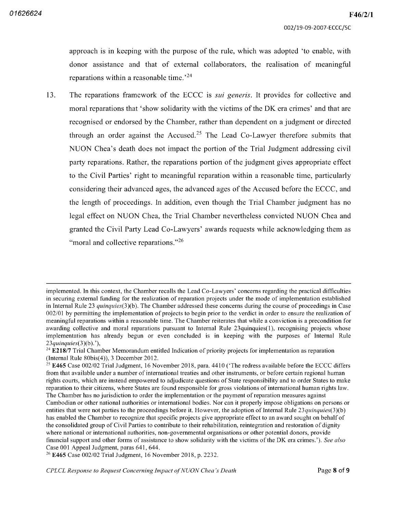approach is in keeping with the purpose of the rule, which was adopted 'to enable, with donor assistance and that of external collaborators, the realisation of meaningful reparations within a reasonable time.<sup>24</sup>

The reparations framework of the ECCC is *sui generis*. It provides for collective and moral reparations that 'show solidarity with the victims of the DK era crimes' and that are recognised or endorsed by the Chamber, rather than dependent on a judgment or directed through an order against the Accused.<sup>25</sup> The Lead Co-Lawyer therefore submits that NUON Chea's death does not impact the portion of the Trial Judgment addressing civil party reparations. Rather, the reparations portion of the judgment gives appropriate effect to the Civil Parties' right to meaningful reparation within a reasonable time, particularly considering their advanced ages the advanced ages of the Accused before the ECCC and the length of proceedings. In addition, even though the Trial Chamber judgment has no legal effect on NUON Chea the Trial Chamber nevertheless convicted NUON Chea and granted the Civil Party Lead Co Lawyers' awards requests while acknowledging them as "moral and collective reparations."<sup>26</sup> 13

implemented. In this context, the Chamber recalls the Lead Co-Lawyers' concerns regarding the practical difficulties in securing external funding for the realization of reparation projects under the mode of implementation established in Internal Rule 23  $quinquies(3)(b)$ . The Chamber addressed these concerns during the course of proceedings in Case 002/01 by permitting the implementation of projects to begin prior to the verdict in order to ensure the realization of meaningful reparations within a reasonable time. The Chamber reiterates that while a conviction is a precondition for awarding collective and moral reparations pursuant to Internal Rule 23quinquies(1), recognising projects whose implementation has already begun or even concluded is in keeping with the purposes of Internal Rule  $23$ quinquies $(3)(b)$ .

<sup>&</sup>lt;sup>24</sup> E218/7 Trial Chamber Memorandum entitled Indication of priority projects for implementation as reparation (Internal Rule  $80bis(4)$ ), 3 December 2012.

 $25$  E465 Case 002/02 Trial Judgment, 16 November 2018, para. 4410 ('The redress available before the ECCC differs from that available under a number of international treaties and other instruments, or before certain regional human rights courts, which are instead empowered to adjudicate questions of State responsibility and to order States to make reparation to their citizens, where States are found responsible for gross violations of international human rights law. The Chamber has no jurisdiction to order the implementation or the payment of reparation measures against Cambodian or other national authorities or international bodies Nor can it properly impose obligations on persons or entities that were not parties to the proceedings before it. However, the adoption of Internal Rule 23 quinquies(3)(b) has enabled the Chamber to recognize that specific projects give appropriate effect to an award sought on behalf of the consolidated group of Civil Parties to contribute to their rehabilitation reintegration and restoration of dignity where national or international authorities, non-governmental organisations or other potential donors, provide financial support and other forms of assistance to show solidarity with the victims of the DK era crimes.'). See also Case 001 Appeal Judgment, paras 641, 644.

 $26$  E465 Case 002/02 Trial Judgment, 16 November 2018, p. 2232.